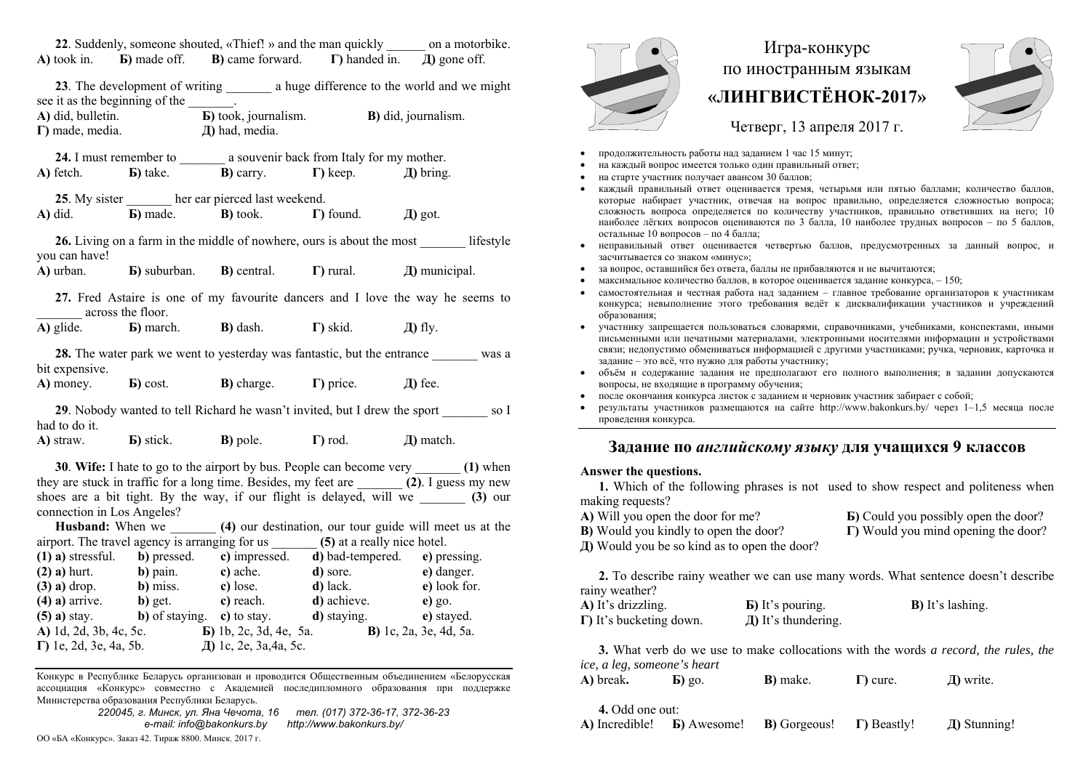|                                                                                                        |                                                                                                                    |                                                                 |  | 22. Suddenly, someone shouted, «Thief! » and the man quickly _______ on a motorbike.                                                                                                                                                                                                                             |  |  |
|--------------------------------------------------------------------------------------------------------|--------------------------------------------------------------------------------------------------------------------|-----------------------------------------------------------------|--|------------------------------------------------------------------------------------------------------------------------------------------------------------------------------------------------------------------------------------------------------------------------------------------------------------------|--|--|
|                                                                                                        |                                                                                                                    |                                                                 |  | A) took in. $\blacksquare$ <b>b</b> ) made off. <b>B</b> ) came forward. $\blacksquare$ handed in. $\blacksquare$ gone off.                                                                                                                                                                                      |  |  |
|                                                                                                        | see it as the beginning of the ________.<br>$\Gamma$ ) made, media. $\Box$ and $\Box$ and $\Box$ and $\Box$ media. |                                                                 |  | <b>A)</b> did, bulletin. <b>b</b> took, journalism. <b>B)</b> did, journalism.                                                                                                                                                                                                                                   |  |  |
|                                                                                                        | 24. I must remember to __________ a souvenir back from Italy for my mother.                                        |                                                                 |  |                                                                                                                                                                                                                                                                                                                  |  |  |
|                                                                                                        | A) fetch. <b>b</b> ) take. <b>b</b> ) carry. <b>c</b> ) keep. J) bring.                                            |                                                                 |  |                                                                                                                                                                                                                                                                                                                  |  |  |
|                                                                                                        | 25. My sister _______ her ear pierced last weekend.                                                                |                                                                 |  |                                                                                                                                                                                                                                                                                                                  |  |  |
|                                                                                                        | A) did. <b>b</b> ) made. <b>b</b> ) took. <b>h</b> ) found. $\Box$ <b>h</b> ) got.                                 |                                                                 |  |                                                                                                                                                                                                                                                                                                                  |  |  |
| you can have!                                                                                          |                                                                                                                    |                                                                 |  | 26. Living on a farm in the middle of nowhere, ours is about the most _________ lifestyle                                                                                                                                                                                                                        |  |  |
|                                                                                                        | <b>A)</b> urban. <b>b</b> ) suburban. <b>B)</b> central. $\Gamma$ ) rural. <b>A)</b> municipal.                    |                                                                 |  |                                                                                                                                                                                                                                                                                                                  |  |  |
| across the floor.                                                                                      |                                                                                                                    |                                                                 |  | 27. Fred Astaire is one of my favourite dancers and I love the way he seems to                                                                                                                                                                                                                                   |  |  |
|                                                                                                        | A) glide. <b>b</b> ) march. <b>B</b> ) dash. <b>c</b> ) skid. $\Box$ <b>h</b> ) fly.                               |                                                                 |  |                                                                                                                                                                                                                                                                                                                  |  |  |
| <b>28.</b> The water park we went to yesterday was fantastic, but the entrance was a<br>bit expensive. |                                                                                                                    |                                                                 |  |                                                                                                                                                                                                                                                                                                                  |  |  |
|                                                                                                        | A) money. <b>b</b> ) cost. <b>b</b> ) charge. <b>c</b> ) price. $\Box$ T and $\Box$ Exection                       |                                                                 |  |                                                                                                                                                                                                                                                                                                                  |  |  |
| 29. Nobody wanted to tell Richard he wasn't invited, but I drew the sport so I<br>had to do it.        |                                                                                                                    |                                                                 |  |                                                                                                                                                                                                                                                                                                                  |  |  |
|                                                                                                        | A) straw. <b>b</b> ) stick. <b>b</b> ) pole. <b>c</b> $\Gamma$ ) rod. $\Box$ match.                                |                                                                 |  |                                                                                                                                                                                                                                                                                                                  |  |  |
| connection in Los Angeles?                                                                             |                                                                                                                    | المعاون والمتحدث والمستحيل والمستحيل والمتحدث والمتحدث والمتحدث |  | 30. Wife: I hate to go to the airport by bus. People can become very _______ (1) when<br>they are stuck in traffic for a long time. Besides, my feet are _______ (2). I guess my new<br>shoes are a bit tight. By the way, if our flight is delayed, will we ______ (3) our<br><b>Contract Contract Contract</b> |  |  |

**Husband:** When we **(4)** our destination, our tour guide will meet us at the airport. The travel agency is arranging for us \_\_\_\_\_\_\_ **(5)** at a really nice hotel.

| $(1)$ a) stressful.            | b) pressed.    | c) impressed.                  | d) bad-tempered.    | e) pressing.                   |
|--------------------------------|----------------|--------------------------------|---------------------|--------------------------------|
| $(2)$ a) hurt.                 | b) pain.       | c) ache.                       | d) sore.            | e) danger.                     |
| $(3)$ a) drop.                 | b) miss.       | c) lose.                       | $d)$ lack.          | e) look for.                   |
| $(4)$ a) arrive.               | b) get.        | c) reach.                      | d) achieve.         | $e)$ go.                       |
| $(5)$ a) stay.                 | b) of staying. | c) to stay.                    | <b>d</b> ) staying. | e) stayed.                     |
| A) 1d, 2d, 3b, 4c, 5c.         |                | <b>b</b> ) 1b, 2c, 3d, 4e, 5a. |                     | <b>B</b> ) 1c, 2a, 3e, 4d, 5a. |
| $\Gamma$ ) 1e, 2d, 3e, 4a, 5b. |                | Д) 1с, 2е, 3а, 4а, 5с.         |                     |                                |

Конкурс <sup>в</sup> Республике Беларусь организован <sup>и</sup> проводится Общественным объединением «Белорусская ассоциация «Конкурс» совместно <sup>с</sup> Академией последипломного образования при поддержке Министерства образования Республики Беларусь.

> *220045, <sup>г</sup>. Минск, ул. Яна Чечота, 16 тел. (017) 372-36-17, 372-36-23 e-mail: info@bakonkurs.by http://www.bakonkurs.by/*

 $\bullet$ 

## Игра-конкурс по иностранным языкам **«ЛИНГВИСТЁНОК-2017»**



Четверг, 13 апреля 2017 г.

- продолжительность работы над заданием 1 час 15 минут;
- . на каждый вопрос имеется только один правильный ответ;
- . на старте участник получает авансом 30 баллов;
- . каждый правильный ответ оценивается тремя, четырьмя или пятью баллами; количество баллов, которые набирает участник, отвечая на вопрос правильно, определяется сложностью вопроса; сложность вопроса определяется по количеству участников, правильно ответивших на него; 10 наиболее лёгких вопросов оцениваются по 3 балла, 10 наиболее трудных вопросов – по 5 баллов, остальные 10 вопросов – по 4 балла;
- . неправильный ответ оценивается четвертью баллов, предусмотренных за данный вопрос, <sup>и</sup> засчитывается со знаком «минус»;
- . за вопрос, оставшийся без ответа, баллы не прибавляются <sup>и</sup> не вычитаются;
- ۰ **•** максимальное количество баллов, в которое оценивается задание конкурса,  $-150$ ;
- . самостоятельная и честная работа над заданием – главное требование организаторов <sup>к</sup> участникам конкурса; невыполнение этого требования ведёт <sup>к</sup> дисквалификации участников <sup>и</sup> учреждений образования;
- . участнику запрещается пользоваться словарями, справочниками, учебниками, конспектами, иными письменными или печатными материалами, электронными носителями информации <sup>и</sup> устройствами связи; недопустимо обмениваться информацией <sup>с</sup> другими участниками; ручка, черновик, карточка <sup>и</sup> задание – это всё, что нужно для работы участнику;
- . объём <sup>и</sup> содержание задания не предполагают его полного выполнения; <sup>в</sup> задании допускаются вопросы, не входящие <sup>в</sup> программу обучения;
- ۰ после окончания конкурса листок <sup>с</sup> заданием <sup>и</sup> черновик участник забирает <sup>с</sup> собой;
- . результаты участников размещаются на сайте http://www.bakonkurs.by/ через 1–1,5 месяца после проведения конкурса.

## **Задание по** *английскому языку* **для учащихся 9 классов**

## **Answer the questions.**

**1.** Which of the following phrases is not used to show respect and politeness when making requests?

**А)** Will you open the door for me? **В)** Would you kindly to open the door? **Д)** Would you be so kind as to open the door? **Б)** Could you possibly open the door?

**Г)** Would you mind opening the door?

**2.** To describe rainy weather we can use many words. What sentence doesn't describe rainy weather?

| A) It's drizzling.              | <b>B</b> ) It's pouring. | <b>B</b> ) It's lashing. |
|---------------------------------|--------------------------|--------------------------|
| $\Gamma$ ) It's bucketing down. | Д) It's thundering.      |                          |

**3.** What verb do we use to make collocations with the words *a record, the rules, the ice, a leg, someone's heart*

**A)** break**. Б)** go. **В)** make. **Г)** cure. **Д)** write.

**4.** Odd one out:

**A)** Incredible! **Б)** Awesome! **В)** Gorgeous! **Г)** Beastly! **Д)** Stunning!

ОО «БА «Конкурс». Заказ 42. Тираж 8800. Минск. 2017 <sup>г</sup>.